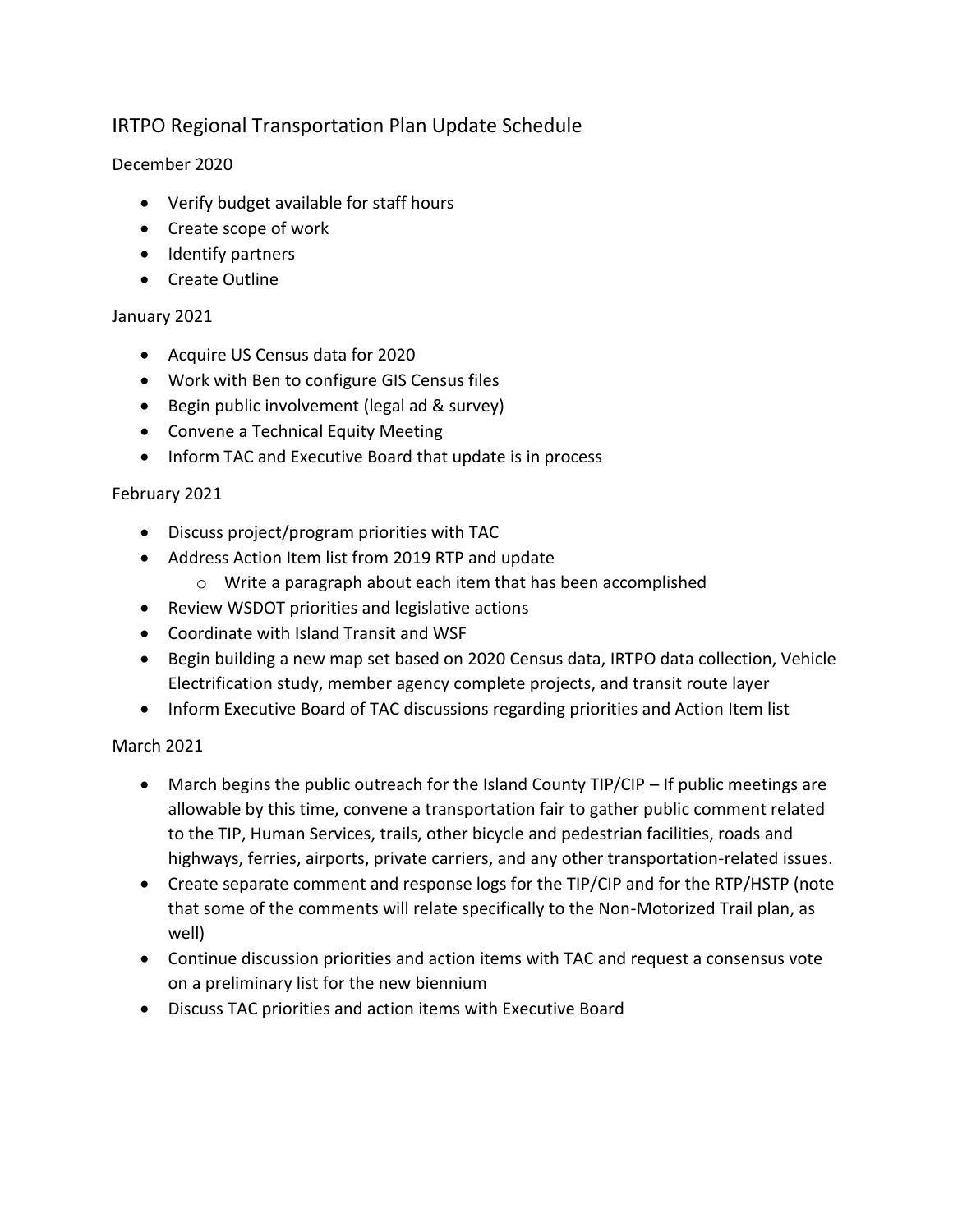# IRTPO Regional Transportation Plan Update Schedule

## December 2020

- Verify budget available for staff hours
- Create scope of work
- Identify partners
- Create Outline

### January 2021

- Acquire US Census data for 2020
- Work with Ben to configure GIS Census files
- Begin public involvement (legal ad & survey)
- Convene a Technical Equity Meeting
- Inform TAC and Executive Board that update is in process

### February 2021

- Discuss project/program priorities with TAC
- Address Action Item list from 2019 RTP and update
	- o Write a paragraph about each item that has been accomplished
- Review WSDOT priorities and legislative actions
- Coordinate with Island Transit and WSF
- Begin building a new map set based on 2020 Census data, IRTPO data collection, Vehicle Electrification study, member agency complete projects, and transit route layer
- Inform Executive Board of TAC discussions regarding priorities and Action Item list

## March 2021

- March begins the public outreach for the Island County TIP/CIP If public meetings are allowable by this time, convene a transportation fair to gather public comment related to the TIP, Human Services, trails, other bicycle and pedestrian facilities, roads and highways, ferries, airports, private carriers, and any other transportation-related issues.
- Create separate comment and response logs for the TIP/CIP and for the RTP/HSTP (note that some of the comments will relate specifically to the Non-Motorized Trail plan, as well)
- Continue discussion priorities and action items with TAC and request a consensus vote on a preliminary list for the new biennium
- Discuss TAC priorities and action items with Executive Board